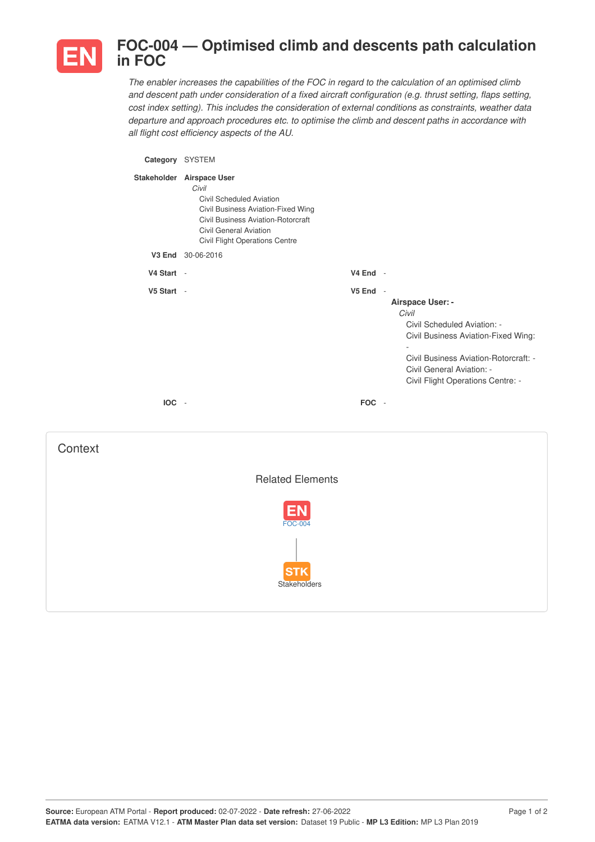

## **FOC-004 — Optimised climb and descents path calculation in FOC**

*The enabler increases the capabilities of the FOC in regard to the calculation of an optimised climb and descent path under consideration of a fixed aircraft configuration (e.g. thrust setting, flaps setting, cost index setting). This includes the consideration of external conditions as constraints, weather data departure and approach procedures etc. to optimise the climb and descent paths in accordance with all flight cost efficiency aspects of the AU.*